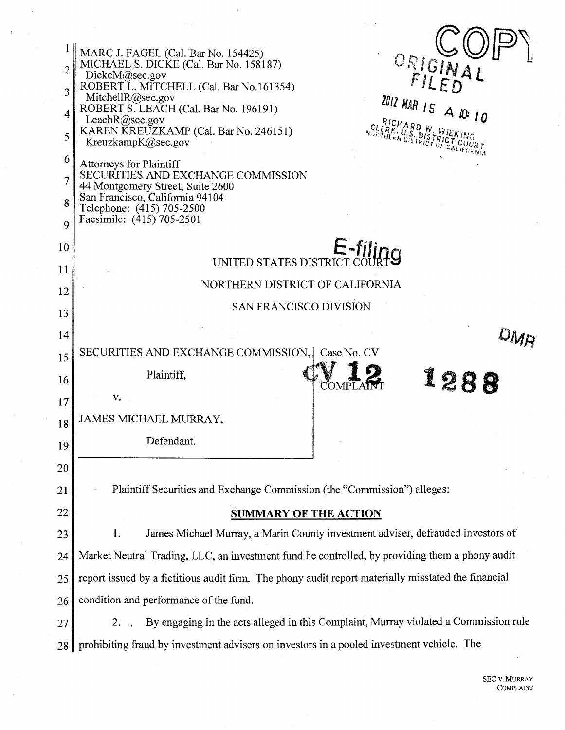| $\overline{2}$ | MARC J. FAGEL (Cal. Bar No. 154425)<br>ORIGINAL<br>MICHAEL S. DICKE (Cal. Bar No. 158187)                                                                             |  |  |  |  |
|----------------|-----------------------------------------------------------------------------------------------------------------------------------------------------------------------|--|--|--|--|
| 3              | DickeM(a)sec.gov<br>ROBERT L. MITCHELL (Cal. Bar No.161354)                                                                                                           |  |  |  |  |
| 4              | Mitchell $R$ @sec.gov<br>2012 MAR 15 A 10: 10<br>ROBERT S. LEACH (Cal. Bar No. 196191)                                                                                |  |  |  |  |
| 5              | Leach $R$ ( $a$ ) sec. gov<br><sup>HARD W</sup> WIEKING<br>KAREN KREUZKAMP (Cal. Bar No. 246151)<br>$\hat{H}$ kn $\hat{v}$ iš iklči $\hat{v}$ i<br>KreuzkampK@sec.gov |  |  |  |  |
| 6              | <b>Attorneys for Plaintiff</b>                                                                                                                                        |  |  |  |  |
| 7              | SECURITIES AND EXCHANGE COMMISSION<br>44 Montgomery Street, Suite 2600                                                                                                |  |  |  |  |
| 8              | San Francisco, California 94104<br>Telephone: (415) 705-2500                                                                                                          |  |  |  |  |
| 9              | Facsimile: (415) 705-2501                                                                                                                                             |  |  |  |  |
| 10             | $E$ -filino                                                                                                                                                           |  |  |  |  |
| 11             | UNITED STATES DISTRICT                                                                                                                                                |  |  |  |  |
| 12             | NORTHERN DISTRICT OF CALIFORNIA                                                                                                                                       |  |  |  |  |
| 13             | <b>SAN FRANCISCO DIVISION</b>                                                                                                                                         |  |  |  |  |
| 14             |                                                                                                                                                                       |  |  |  |  |
| 15             | SECURITIES AND EXCHANGE COMMISSION,<br>Case No. CV                                                                                                                    |  |  |  |  |
| 16             | Plaintiff,<br>12<br>COMP                                                                                                                                              |  |  |  |  |
| 17             | v.                                                                                                                                                                    |  |  |  |  |
| 18             | JAMES MICHAEL MURRAY,                                                                                                                                                 |  |  |  |  |
| 19             | Defendant.                                                                                                                                                            |  |  |  |  |
| 20             |                                                                                                                                                                       |  |  |  |  |
| 21             | Plaintiff Securities and Exchange Commission (the "Commission") alleges:                                                                                              |  |  |  |  |
| 22             | <b>SUMMARY OF THE ACTION</b>                                                                                                                                          |  |  |  |  |
| 23             | James Michael Murray, a Marin County investment adviser, defrauded investors of<br>1.                                                                                 |  |  |  |  |
| 24             | Market Neutral Trading, LLC, an investment fund he controlled, by providing them a phony audit                                                                        |  |  |  |  |
| 25             | report issued by a fictitious audit firm. The phony audit report materially misstated the financial                                                                   |  |  |  |  |
| 26             | condition and performance of the fund.                                                                                                                                |  |  |  |  |
| 27             | By engaging in the acts alleged in this Complaint, Murray violated a Commission rule<br>2.                                                                            |  |  |  |  |
| 28             | prohibiting fraud by investment advisers on investors in a pooled investment vehicle. The                                                                             |  |  |  |  |
|                |                                                                                                                                                                       |  |  |  |  |

 $\hat{\mathcal{A}}$ 

 $\bar{\mathcal{A}}$ 

 $\bar{u}$ 

 $\overline{a}$ 

 $\Delta$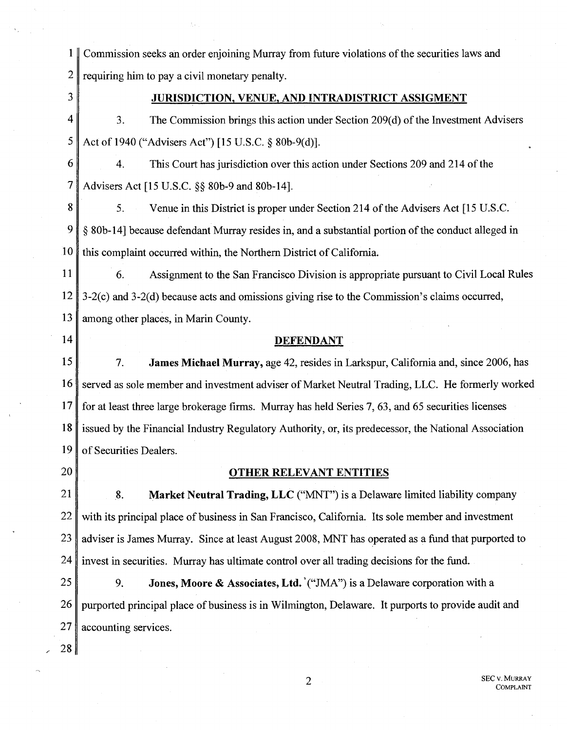1 Commission seeks an order enjoining Murray from future violations of the securities laws and 2 requiring him to pay a civil monetary penalty.

3

## JURISDICTION, VENUE, AND INTRADISTRICT ASSIGMENT

 $4 \parallel 3$ . The Commission brings this action under Section 209(d) of the Investment Advisers 5 Act of 1940 ("Advisers Act") [15 U.S.C.  $\S$  80b-9(d)].

6 4. This Court has jurisdiction over this action under Sections 209 and 214 of the 7 Advisers Act [15 U.S.C. §§ 80b-9 and 80b-14].

8  $\parallel$  5. Venue in this District is proper under Section 214 of the Advisers Act [15 U.S.C.] 9 § 80b-14] because defendant Murray resides in, and a substantial portion of the conduct alleged in  $10 \parallel$  this complaint occurred within, the Northern District of California.

11 6. Assignment to the San Francisco Division is appropriate pursuant to Civil Local Rules  $12 \parallel 3-2(c)$  and  $3-2(d)$  because acts and omissions giving rise to the Commission's claims occurred, 13 among other places, in Marin County.

- 14
- 

#### DEFENDANT

 $15$  7. James Michael Murray, age 42, resides in Larkspur, California and, since 2006, has 16 served as sole member and investment adviser of Market Neutral Trading, LLC. He formerly worked 17 for at least three large brokerage firms. Murray has held Series 7, 63, and 65 securities licenses 18 issued by the Financial Industry Regulatory Authority, or, its predecessor, the National Association 19 of Securities Dealers.

20

" 28

## OTHER RELEVANT ENTITIES

 $21$  8. Market Neutral Trading, LLC ("MNT") is a Delaware limited liability company  $22$  with its principal place of business in San Francisco, California. Its sole member and investment 23 adviser is James Murray. Since at least August 2008, MNT has operated as a fund that purported to 24 invest in securities. Murray has ultimate control over all trading decisions for the fund.

25 9. Jones, Moore & Associates, Ltd. ("JMA") is a Delaware corporation with a 26 purported principal place of business is in Wilmington, Delaware. It purports to provide audit and 27 accounting services.

> 2 SEC v. MURRAY COMPLAINT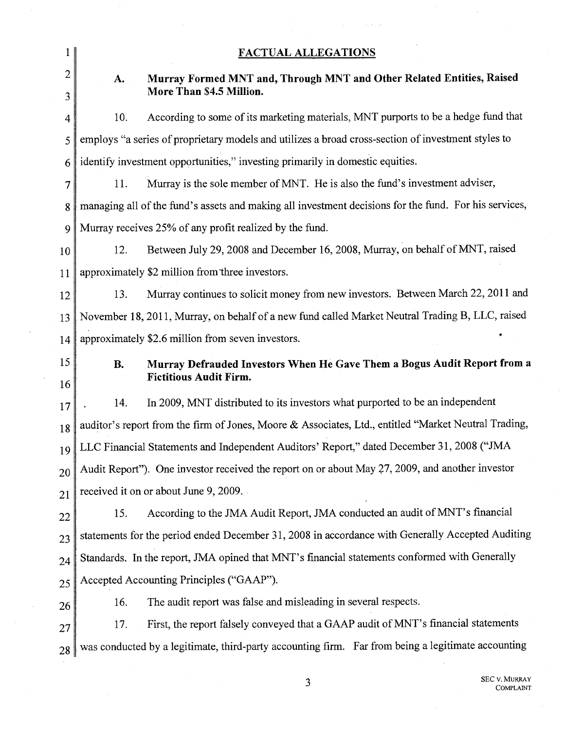|                               | <b>FACTUAL ALLEGATIONS</b>                                                                            |                                                                                                      |  |  |  |
|-------------------------------|-------------------------------------------------------------------------------------------------------|------------------------------------------------------------------------------------------------------|--|--|--|
| $\overline{2}$                | A.                                                                                                    | Murray Formed MNT and, Through MNT and Other Related Entities, Raised                                |  |  |  |
| More Than \$4.5 Million.<br>3 |                                                                                                       |                                                                                                      |  |  |  |
| 4                             | 10.                                                                                                   | According to some of its marketing materials, MNT purports to be a hedge fund that                   |  |  |  |
| 5                             | employs "a series of proprietary models and utilizes a broad cross-section of investment styles to    |                                                                                                      |  |  |  |
| 6                             | identify investment opportunities," investing primarily in domestic equities.                         |                                                                                                      |  |  |  |
| 7                             | 11.                                                                                                   | Murray is the sole member of MNT. He is also the fund's investment adviser,                          |  |  |  |
| 8                             | managing all of the fund's assets and making all investment decisions for the fund. For his services, |                                                                                                      |  |  |  |
| 9                             | Murray receives 25% of any profit realized by the fund.                                               |                                                                                                      |  |  |  |
| 10                            | 12.                                                                                                   | Between July 29, 2008 and December 16, 2008, Murray, on behalf of MNT, raised                        |  |  |  |
| 11                            |                                                                                                       | approximately \$2 million from three investors.                                                      |  |  |  |
| 12                            | 13.                                                                                                   | Murray continues to solicit money from new investors. Between March 22, 2011 and                     |  |  |  |
| 13                            |                                                                                                       | November 18, 2011, Murray, on behalf of a new fund called Market Neutral Trading B, LLC, raised      |  |  |  |
| 14                            |                                                                                                       | approximately \$2.6 million from seven investors.                                                    |  |  |  |
|                               |                                                                                                       |                                                                                                      |  |  |  |
| 15                            | <b>B.</b>                                                                                             | Murray Defrauded Investors When He Gave Them a Bogus Audit Report from a                             |  |  |  |
| 16                            |                                                                                                       | <b>Fictitious Audit Firm.</b>                                                                        |  |  |  |
| 17                            | 14.                                                                                                   | In 2009, MNT distributed to its investors what purported to be an independent                        |  |  |  |
| 18                            |                                                                                                       | auditor's report from the firm of Jones, Moore & Associates, Ltd., entitled "Market Neutral Trading, |  |  |  |
| 19                            |                                                                                                       | LLC Financial Statements and Independent Auditors' Report," dated December 31, 2008 ("JMA            |  |  |  |
| 20                            |                                                                                                       | Audit Report"). One investor received the report on or about May 27, 2009, and another investor      |  |  |  |
| 21                            |                                                                                                       | received it on or about June 9, 2009.                                                                |  |  |  |
| 22                            | 15.                                                                                                   | According to the JMA Audit Report, JMA conducted an audit of MNT's financial                         |  |  |  |
| 23                            |                                                                                                       | statements for the period ended December 31, 2008 in accordance with Generally Accepted Auditing     |  |  |  |
| 24                            |                                                                                                       | Standards. In the report, JMA opined that MNT's financial statements conformed with Generally        |  |  |  |
| 25                            |                                                                                                       | Accepted Accounting Principles ("GAAP").                                                             |  |  |  |
| 26                            | 16.                                                                                                   | The audit report was false and misleading in several respects.                                       |  |  |  |
| 27                            | 17.                                                                                                   | First, the report falsely conveyed that a GAAP audit of MNT's financial statements                   |  |  |  |

 $\mathcal{L} \neq \mathcal{L}$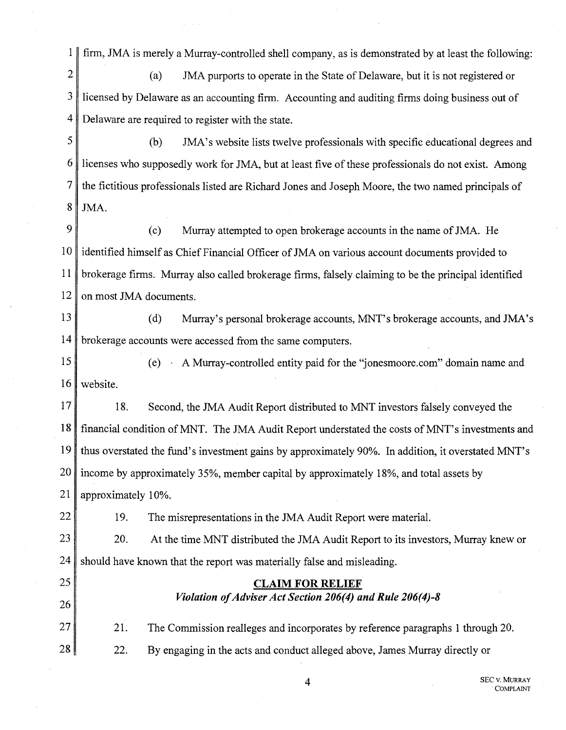1 firm, JMA is merely a Murray-controlled shell company, as is demonstrated by at least the following:

2 (a) JMA purports to operate in the State of Delaware, but it is not registered or 3 licensed by Delaware as an accounting firm. Accounting and auditing firms doing business out of 4 Delaware are required to register with the state.

5 (b) JMA's website lists twelve professionals with specific educational degrees and  $6 \parallel$  licenses who supposedly work for JMA, but at least five of these professionals do not exist. Among 7 the fictitious professionals listed are Richard Jones and Joseph Moore, the two named principals of  $8$  JMA.

9 (c) Murray attempted to open brokerage accounts in the name of JMA. He 10 identified himself as Chief Financial Officer of JMA on various account documents provided to 11 brokerage firms. Murray also called brokerage firms, falsely claiming to be the principal identified  $12$  on most JMA documents.

13 (d) Murray's personal brokerage accounts, MNT's brokerage accounts, and JMA's 14 brokerage accounts were accessed from the same computers.

15 (e) A Murray-controlled entity paid for the "jonesmoore.com" domain name and 16 website.

17 18. Second, the JMA Audit Report distributed to MNT investors falsely conveyed the 18 financial condition of MNT. The JMA Audit Report understated the costs of MNT's investments and 19 thus overstated the fund's investment gains by approximately 90%. In addition, it overstated MNT's  $20$  income by approximately 35%, member capital by approximately 18%, and total assets by 21 | approximately 10%.

22 19. The misrepresentations in the JMA Audit Report were material.

25

26

23 20. At the time MNT distributed the JMA Audit Report to its investors, Murray knew or  $24$  should have known that the report was materially false and misleading.

# CLAIM FOR RELIEF *Violation of Adviser Act Section 206(4) and Rule 206(4)-8*

27 28 21. 22. The Commission realleges and incorporates by reference paragraphs 1 through 20. By engaging in the acts and conduct alleged above, James Murray directly or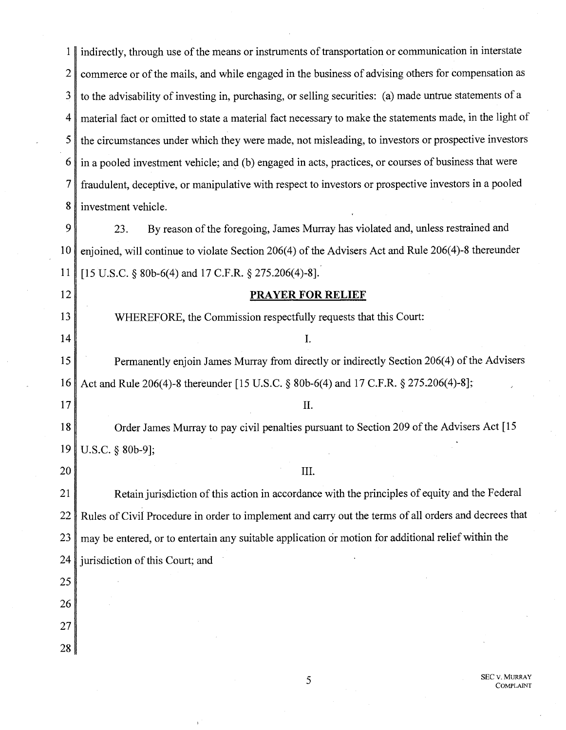1 indirectly, through use of the means or instruments of transportation or communication in interstate 2 commerce or of the mails, and while engaged in the business of advising others for compensation as  $3 \parallel$  to the advisability of investing in, purchasing, or selling securities: (a) made untrue statements of a 4 material fact or omitted to state a material fact necessary to make the statements made, in the light of 5 the circumstances under which they were made, not misleading, to investors or prospective investors 6 in a pooled investment vehicle; and (b) engaged in acts, practices, or courses of business that were 7 fraudulent, deceptive, or manipulative with respect to investors or prospective investors in a pooled 8 investment vehicle.

9 23. By reason of the foregoing, James Murray has violated and, unless restrained and 10 enjoined, will continue to violate Section 206(4) of the Advisers Act and Rule 206(4)-8 thereunder 11 [15 U.S.C. § 80b-6(4) and 17 C.F.R. § 275.206(4)-8].

### 12 **PRAYER FOR RELIEF**

13 WHEREFORE, the Commission respectfully requests that this Court:

#### $14$  I.

15 Permanently enjoin James Murray from directly or indirectly Section 206(4) of the Advisers 16 Act and Rule 206(4)-8 thereunder [15 U.S.C. § 80b-6(4) and 17 C.F.R. § 275.206(4)-8];

#### $17$   $\parallel$

18 Order James Murray to pay civil penalties pursuant to Section 209 of the Advisers Act [15] 19 U.S.C. § 80b-9];

## $20$  |  $\Box$

21 Retain jurisdiction of this action in accordance with the principles of equity and the Federal 22 Rules of Civil Procedure in order to implement and carry out the terms of a11 orders and decrees that  $23$  may be entered, or to entertain any suitable application or motion for additional relief within the 24 jurisdiction of this Court; and

25

- 26 27
- 

28